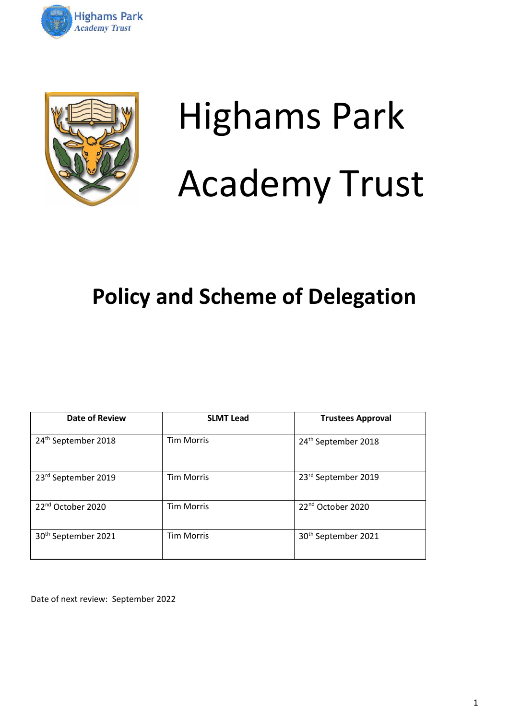



# Highams Park Academy Trust

## **Policy and Scheme of Delegation**

| <b>Date of Review</b>           | <b>SLMT Lead</b>  | <b>Trustees Approval</b>        |
|---------------------------------|-------------------|---------------------------------|
| 24 <sup>th</sup> September 2018 | <b>Tim Morris</b> | 24 <sup>th</sup> September 2018 |
| 23 <sup>rd</sup> September 2019 | <b>Tim Morris</b> | 23rd September 2019             |
| 22 <sup>nd</sup> October 2020   | <b>Tim Morris</b> | 22 <sup>nd</sup> October 2020   |
| 30 <sup>th</sup> September 2021 | <b>Tim Morris</b> | 30 <sup>th</sup> September 2021 |

Date of next review: September 2022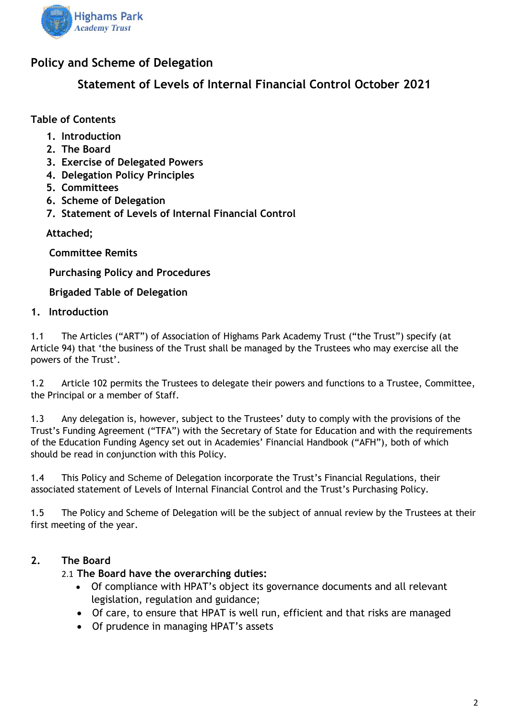

#### **Policy and Scheme of Delegation**

**Statement of Levels of Internal Financial Control October 2021**

**Table of Contents**

- **1. Introduction**
- **2. The Board**
- **3. Exercise of Delegated Powers**
- **4. Delegation Policy Principles**
- **5. Committees**
- **6. Scheme of Delegation**
- **7. Statement of Levels of Internal Financial Control**

**Attached;**

**Committee Remits** 

**Purchasing Policy and Procedures**

**Brigaded Table of Delegation** 

#### **1. Introduction**

1.1 The Articles ("ART") of Association of Highams Park Academy Trust ("the Trust") specify (at Article 94) that 'the business of the Trust shall be managed by the Trustees who may exercise all the powers of the Trust'.

1.2 Article 102 permits the Trustees to delegate their powers and functions to a Trustee, Committee, the Principal or a member of Staff.

1.3 Any delegation is, however, subject to the Trustees' duty to comply with the provisions of the Trust's Funding Agreement ("TFA") with the Secretary of State for Education and with the requirements of the Education Funding Agency set out in Academies' Financial Handbook ("AFH"), both of which should be read in conjunction with this Policy.

1.4 This Policy and Scheme of Delegation incorporate the Trust's Financial Regulations, their associated statement of Levels of Internal Financial Control and the Trust's Purchasing Policy.

1.5 The Policy and Scheme of Delegation will be the subject of annual review by the Trustees at their first meeting of the year.

#### **2. The Board**

#### 2.1 **The Board have the overarching duties:**

- Of compliance with HPAT's object its governance documents and all relevant legislation, regulation and guidance;
- Of care, to ensure that HPAT is well run, efficient and that risks are managed
- Of prudence in managing HPAT's assets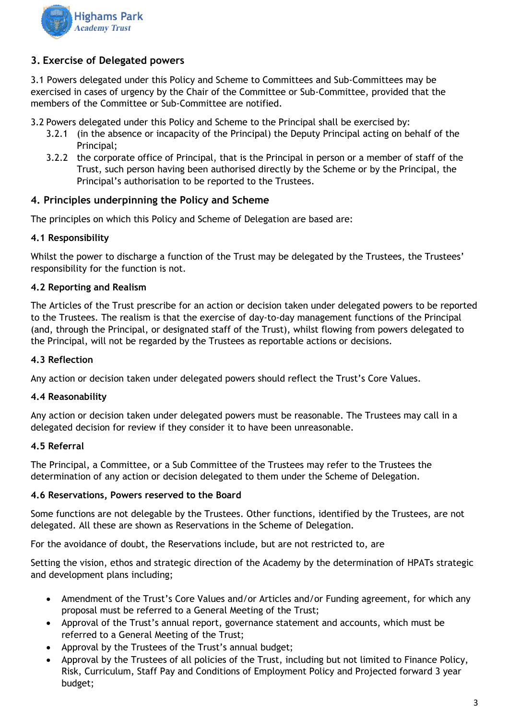

#### **3. Exercise of Delegated powers**

3.1 Powers delegated under this Policy and Scheme to Committees and Sub-Committees may be exercised in cases of urgency by the Chair of the Committee or Sub-Committee, provided that the members of the Committee or Sub-Committee are notified.

3.2 Powers delegated under this Policy and Scheme to the Principal shall be exercised by:

- 3.2.1 (in the absence or incapacity of the Principal) the Deputy Principal acting on behalf of the Principal;
- 3.2.2 the corporate office of Principal, that is the Principal in person or a member of staff of the Trust, such person having been authorised directly by the Scheme or by the Principal, the Principal's authorisation to be reported to the Trustees.

#### **4. Principles underpinning the Policy and Scheme**

The principles on which this Policy and Scheme of Delegation are based are:

#### **4.1 Responsibility**

Whilst the power to discharge a function of the Trust may be delegated by the Trustees, the Trustees' responsibility for the function is not.

#### **4.2 Reporting and Realism**

The Articles of the Trust prescribe for an action or decision taken under delegated powers to be reported to the Trustees. The realism is that the exercise of day-to-day management functions of the Principal (and, through the Principal, or designated staff of the Trust), whilst flowing from powers delegated to the Principal, will not be regarded by the Trustees as reportable actions or decisions.

#### **4.3 Reflection**

Any action or decision taken under delegated powers should reflect the Trust's Core Values.

#### **4.4 Reasonability**

Any action or decision taken under delegated powers must be reasonable. The Trustees may call in a delegated decision for review if they consider it to have been unreasonable.

#### **4.5 Referral**

The Principal, a Committee, or a Sub Committee of the Trustees may refer to the Trustees the determination of any action or decision delegated to them under the Scheme of Delegation.

#### **4.6 Reservations, Powers reserved to the Board**

Some functions are not delegable by the Trustees. Other functions, identified by the Trustees, are not delegated. All these are shown as Reservations in the Scheme of Delegation.

For the avoidance of doubt, the Reservations include, but are not restricted to, are

Setting the vision, ethos and strategic direction of the Academy by the determination of HPATs strategic and development plans including;

- Amendment of the Trust's Core Values and/or Articles and/or Funding agreement, for which any proposal must be referred to a General Meeting of the Trust;
- Approval of the Trust's annual report, governance statement and accounts, which must be referred to a General Meeting of the Trust;
- Approval by the Trustees of the Trust's annual budget;
- Approval by the Trustees of all policies of the Trust, including but not limited to Finance Policy, Risk, Curriculum, Staff Pay and Conditions of Employment Policy and Projected forward 3 year budget;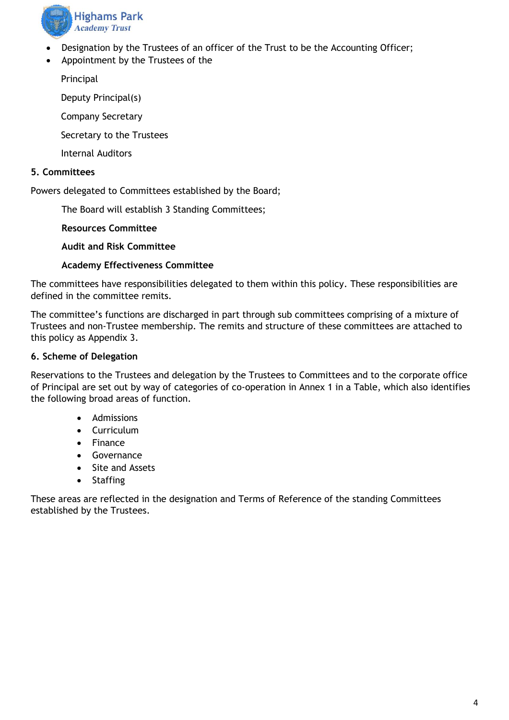

- Designation by the Trustees of an officer of the Trust to be the Accounting Officer;
- Appointment by the Trustees of the

Principal

Deputy Principal(s)

Company Secretary

Secretary to the Trustees

Internal Auditors

#### **5. Committees**

Powers delegated to Committees established by the Board;

The Board will establish 3 Standing Committees;

**Resources Committee**

**Audit and Risk Committee**

#### **Academy Effectiveness Committee**

The committees have responsibilities delegated to them within this policy. These responsibilities are defined in the committee remits.

The committee's functions are discharged in part through sub committees comprising of a mixture of Trustees and non-Trustee membership. The remits and structure of these committees are attached to this policy as Appendix 3.

#### **6. Scheme of Delegation**

Reservations to the Trustees and delegation by the Trustees to Committees and to the corporate office of Principal are set out by way of categories of co-operation in Annex 1 in a Table, which also identifies the following broad areas of function.

- Admissions
- Curriculum
- Finance
- Governance
- Site and Assets
- Staffing

These areas are reflected in the designation and Terms of Reference of the standing Committees established by the Trustees.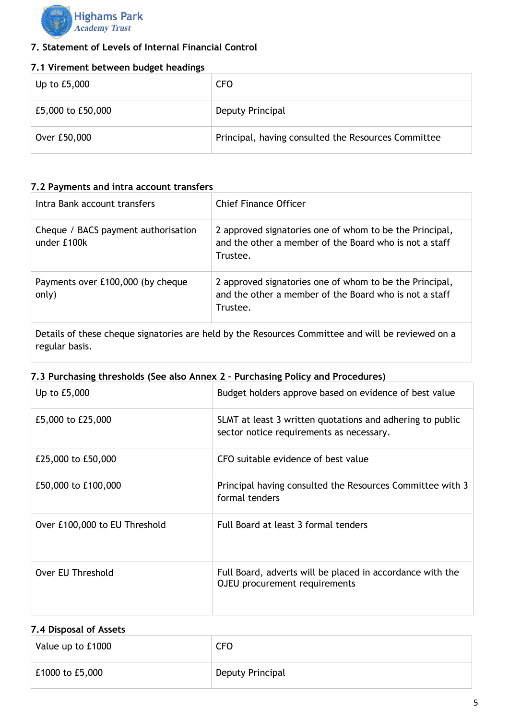

#### **7. Statement of Levels of Internal Financial Control**

#### **7.1 Virement between budget headings**

| Up to £5,000      | <b>CFO</b>                                          |
|-------------------|-----------------------------------------------------|
| £5,000 to £50,000 | Deputy Principal                                    |
| Over £50,000      | Principal, having consulted the Resources Committee |

#### **7.2 Payments and intra account transfers**

| Intra Bank account transfers                       | Chief Finance Officer                                                                                                         |
|----------------------------------------------------|-------------------------------------------------------------------------------------------------------------------------------|
| Cheque / BACS payment authorisation<br>under £100k | 2 approved signatories one of whom to be the Principal,<br>and the other a member of the Board who is not a staff<br>Trustee. |
| Payments over £100,000 (by cheque<br>only)         | 2 approved signatories one of whom to be the Principal,<br>and the other a member of the Board who is not a staff<br>Trustee. |

Details of these cheque signatories are held by the Resources Committee and will be reviewed on a regular basis.

#### **7.3 Purchasing thresholds (See also Annex 2 – Purchasing Policy and Procedures)**

| Up to £5,000                  | Budget holders approve based on evidence of best value                                                |
|-------------------------------|-------------------------------------------------------------------------------------------------------|
| £5,000 to £25,000             | SLMT at least 3 written quotations and adhering to public<br>sector notice requirements as necessary. |
| £25,000 to £50,000            | CFO suitable evidence of best value                                                                   |
| £50,000 to £100,000           | Principal having consulted the Resources Committee with 3<br>formal tenders                           |
| Over £100,000 to EU Threshold | Full Board at least 3 formal tenders                                                                  |
| Over EU Threshold             | Full Board, adverts will be placed in accordance with the<br>OJEU procurement requirements            |

#### **7.4 Disposal of Assets**

| Value up to £1000 | <b>CFO</b>       |
|-------------------|------------------|
| £1000 to £5,000   | Deputy Principal |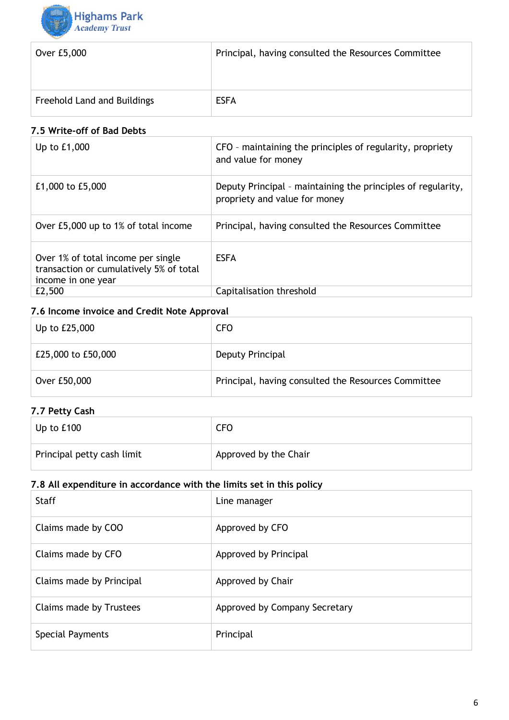

| Over £5,000                 | Principal, having consulted the Resources Committee |
|-----------------------------|-----------------------------------------------------|
|                             |                                                     |
| Freehold Land and Buildings | <b>ESFA</b>                                         |

#### **7.5 Write-off of Bad Debts**

| Up to $£1,000$                                                                                      | CFO - maintaining the principles of regularity, propriety<br>and value for money              |
|-----------------------------------------------------------------------------------------------------|-----------------------------------------------------------------------------------------------|
| £1,000 to £5,000                                                                                    | Deputy Principal - maintaining the principles of regularity,<br>propriety and value for money |
| Over £5,000 up to 1% of total income                                                                | Principal, having consulted the Resources Committee                                           |
| Over 1% of total income per single<br>transaction or cumulatively 5% of total<br>income in one year | <b>ESFA</b>                                                                                   |
| £2,500                                                                                              | Capitalisation threshold                                                                      |

#### **7.6 Income invoice and Credit Note Approval**

| Up to £25,000      | <b>CFO</b>                                          |
|--------------------|-----------------------------------------------------|
| £25,000 to £50,000 | Deputy Principal                                    |
| Over £50,000       | Principal, having consulted the Resources Committee |

#### **7.7 Petty Cash**

| Up to $£100$               | CF <sub>O</sub>       |
|----------------------------|-----------------------|
| Principal petty cash limit | Approved by the Chair |

#### **7.8 All expenditure in accordance with the limits set in this policy**

| <b>Staff</b>             | Line manager                  |
|--------------------------|-------------------------------|
| Claims made by COO       | Approved by CFO               |
| Claims made by CFO       | Approved by Principal         |
| Claims made by Principal | Approved by Chair             |
| Claims made by Trustees  | Approved by Company Secretary |
| Special Payments         | Principal                     |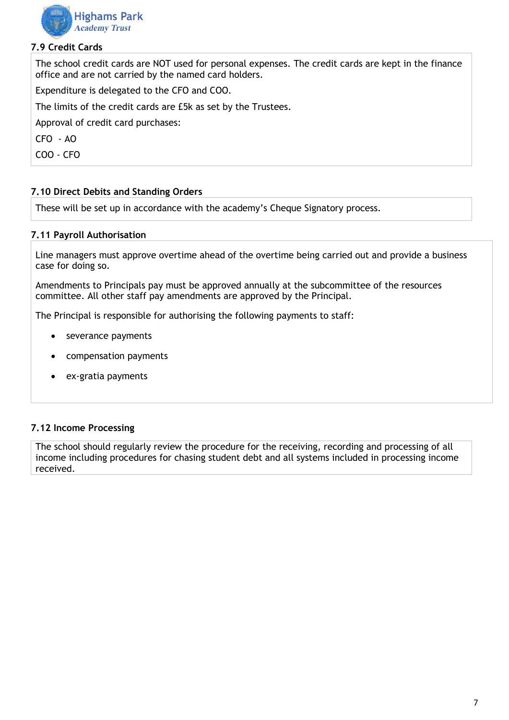

#### **7.9 Credit Cards**

The school credit cards are NOT used for personal expenses. The credit cards are kept in the finance office and are not carried by the named card holders.

Expenditure is delegated to the CFO and COO.

The limits of the credit cards are £5k as set by the Trustees.

Approval of credit card purchases:

CFO - AO

COO - CFO

#### **7.10 Direct Debits and Standing Orders**

These will be set up in accordance with the academy's Cheque Signatory process.

#### **7.11 Payroll Authorisation**

Line managers must approve overtime ahead of the overtime being carried out and provide a business case for doing so.

Amendments to Principals pay must be approved annually at the subcommittee of the resources committee. All other staff pay amendments are approved by the Principal.

The Principal is responsible for authorising the following payments to staff:

- severance payments
- compensation payments
- ex-gratia payments

#### **7.12 Income Processing**

The school should regularly review the procedure for the receiving, recording and processing of all income including procedures for chasing student debt and all systems included in processing income received.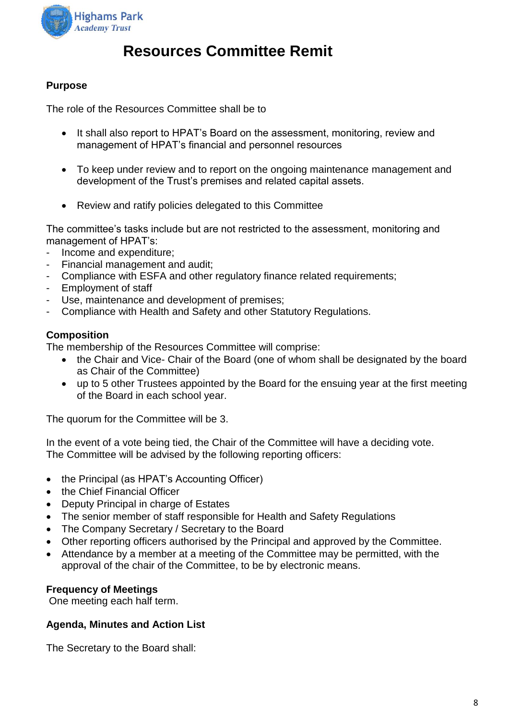

## **Resources Committee Remit**

#### **Purpose**

The role of the Resources Committee shall be to

- It shall also report to HPAT's Board on the assessment, monitoring, review and management of HPAT's financial and personnel resources
- To keep under review and to report on the ongoing maintenance management and development of the Trust's premises and related capital assets.
- Review and ratify policies delegated to this Committee

The committee's tasks include but are not restricted to the assessment, monitoring and management of HPAT's:

- Income and expenditure;
- Financial management and audit;
- Compliance with ESFA and other regulatory finance related requirements:
- Employment of staff
- Use, maintenance and development of premises;
- Compliance with Health and Safety and other Statutory Regulations.

#### **Composition**

The membership of the Resources Committee will comprise:

- the Chair and Vice- Chair of the Board (one of whom shall be designated by the board as Chair of the Committee)
- up to 5 other Trustees appointed by the Board for the ensuing year at the first meeting of the Board in each school year.

The quorum for the Committee will be 3.

In the event of a vote being tied, the Chair of the Committee will have a deciding vote. The Committee will be advised by the following reporting officers:

- the Principal (as HPAT's Accounting Officer)
- the Chief Financial Officer
- Deputy Principal in charge of Estates
- The senior member of staff responsible for Health and Safety Regulations
- The Company Secretary / Secretary to the Board
- Other reporting officers authorised by the Principal and approved by the Committee.
- Attendance by a member at a meeting of the Committee may be permitted, with the approval of the chair of the Committee, to be by electronic means.

#### **Frequency of Meetings**

One meeting each half term.

#### **Agenda, Minutes and Action List**

The Secretary to the Board shall: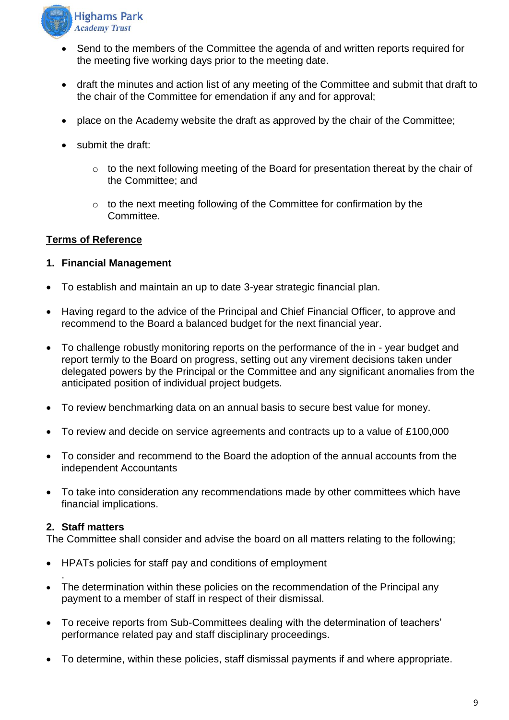

- Send to the members of the Committee the agenda of and written reports required for the meeting five working days prior to the meeting date.
- draft the minutes and action list of any meeting of the Committee and submit that draft to the chair of the Committee for emendation if any and for approval;
- place on the Academy website the draft as approved by the chair of the Committee;
- submit the draft:
	- $\circ$  to the next following meeting of the Board for presentation thereat by the chair of the Committee; and
	- o to the next meeting following of the Committee for confirmation by the Committee.

#### **Terms of Reference**

#### **1. Financial Management**

- To establish and maintain an up to date 3-year strategic financial plan.
- Having regard to the advice of the Principal and Chief Financial Officer, to approve and recommend to the Board a balanced budget for the next financial year.
- To challenge robustly monitoring reports on the performance of the in year budget and report termly to the Board on progress, setting out any virement decisions taken under delegated powers by the Principal or the Committee and any significant anomalies from the anticipated position of individual project budgets.
- To review benchmarking data on an annual basis to secure best value for money.
- To review and decide on service agreements and contracts up to a value of £100,000
- To consider and recommend to the Board the adoption of the annual accounts from the independent Accountants
- To take into consideration any recommendations made by other committees which have financial implications.

#### **2. Staff matters**

.

The Committee shall consider and advise the board on all matters relating to the following;

- HPATs policies for staff pay and conditions of employment
- The determination within these policies on the recommendation of the Principal any payment to a member of staff in respect of their dismissal.
- To receive reports from Sub-Committees dealing with the determination of teachers' performance related pay and staff disciplinary proceedings.
- To determine, within these policies, staff dismissal payments if and where appropriate.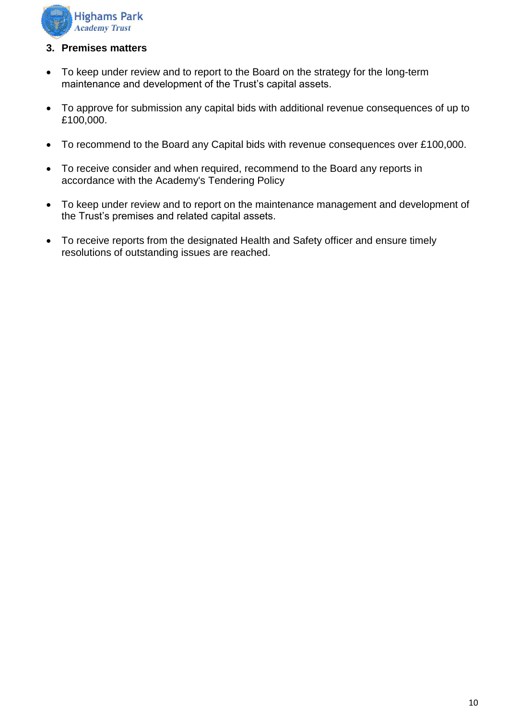

#### **3. Premises matters**

- To keep under review and to report to the Board on the strategy for the long-term maintenance and development of the Trust's capital assets.
- To approve for submission any capital bids with additional revenue consequences of up to £100,000.
- To recommend to the Board any Capital bids with revenue consequences over £100,000.
- To receive consider and when required, recommend to the Board any reports in accordance with the Academy's Tendering Policy
- To keep under review and to report on the maintenance management and development of the Trust's premises and related capital assets.
- To receive reports from the designated Health and Safety officer and ensure timely resolutions of outstanding issues are reached.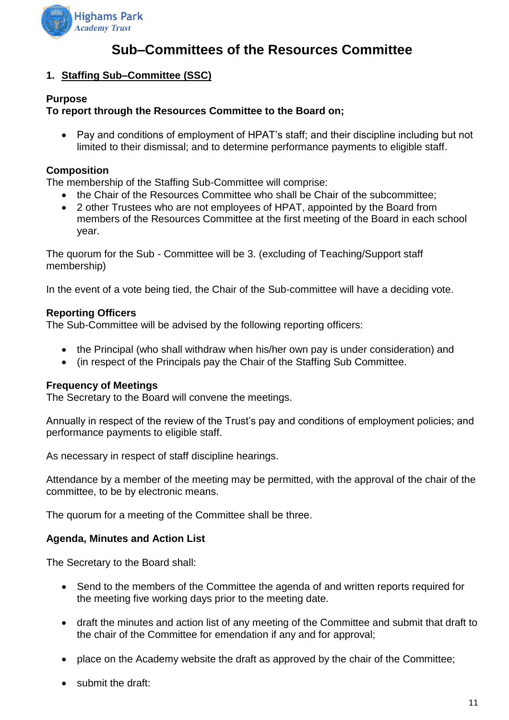

## **Sub–Committees of the Resources Committee**

#### **1. Staffing Sub–Committee (SSC)**

#### **Purpose**

#### **To report through the Resources Committee to the Board on;**

• Pay and conditions of employment of HPAT's staff; and their discipline including but not limited to their dismissal; and to determine performance payments to eligible staff.

#### **Composition**

The membership of the Staffing Sub-Committee will comprise:

- the Chair of the Resources Committee who shall be Chair of the subcommittee;
- 2 other Trustees who are not employees of HPAT, appointed by the Board from members of the Resources Committee at the first meeting of the Board in each school year.

The quorum for the Sub - Committee will be 3. (excluding of Teaching/Support staff membership)

In the event of a vote being tied, the Chair of the Sub-committee will have a deciding vote.

#### **Reporting Officers**

The Sub-Committee will be advised by the following reporting officers:

- the Principal (who shall withdraw when his/her own pay is under consideration) and
- (in respect of the Principals pay the Chair of the Staffing Sub Committee.

#### **Frequency of Meetings**

The Secretary to the Board will convene the meetings.

Annually in respect of the review of the Trust's pay and conditions of employment policies; and performance payments to eligible staff.

As necessary in respect of staff discipline hearings.

Attendance by a member of the meeting may be permitted, with the approval of the chair of the committee, to be by electronic means.

The quorum for a meeting of the Committee shall be three.

#### **Agenda, Minutes and Action List**

The Secretary to the Board shall:

- Send to the members of the Committee the agenda of and written reports required for the meeting five working days prior to the meeting date.
- draft the minutes and action list of any meeting of the Committee and submit that draft to the chair of the Committee for emendation if any and for approval;
- place on the Academy website the draft as approved by the chair of the Committee;
- submit the draft: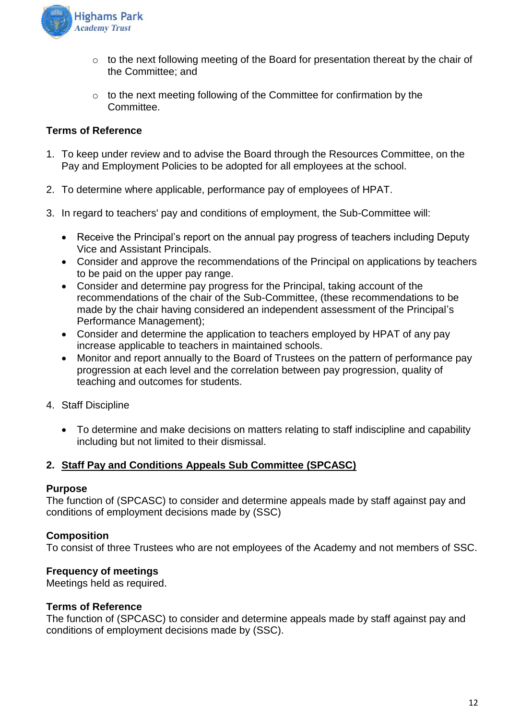

- o to the next following meeting of the Board for presentation thereat by the chair of the Committee; and
- o to the next meeting following of the Committee for confirmation by the Committee.

#### **Terms of Reference**

- 1. To keep under review and to advise the Board through the Resources Committee, on the Pay and Employment Policies to be adopted for all employees at the school.
- 2. To determine where applicable, performance pay of employees of HPAT.
- 3. In regard to teachers' pay and conditions of employment, the Sub-Committee will:
	- Receive the Principal's report on the annual pay progress of teachers including Deputy Vice and Assistant Principals.
	- Consider and approve the recommendations of the Principal on applications by teachers to be paid on the upper pay range.
	- Consider and determine pay progress for the Principal, taking account of the recommendations of the chair of the Sub-Committee, (these recommendations to be made by the chair having considered an independent assessment of the Principal's Performance Management);
	- Consider and determine the application to teachers employed by HPAT of any pay increase applicable to teachers in maintained schools.
	- Monitor and report annually to the Board of Trustees on the pattern of performance pay progression at each level and the correlation between pay progression, quality of teaching and outcomes for students.
- 4. Staff Discipline
	- To determine and make decisions on matters relating to staff indiscipline and capability including but not limited to their dismissal.

#### **2. Staff Pay and Conditions Appeals Sub Committee (SPCASC)**

#### **Purpose**

The function of (SPCASC) to consider and determine appeals made by staff against pay and conditions of employment decisions made by (SSC)

#### **Composition**

To consist of three Trustees who are not employees of the Academy and not members of SSC.

#### **Frequency of meetings**

Meetings held as required.

#### **Terms of Reference**

The function of (SPCASC) to consider and determine appeals made by staff against pay and conditions of employment decisions made by (SSC).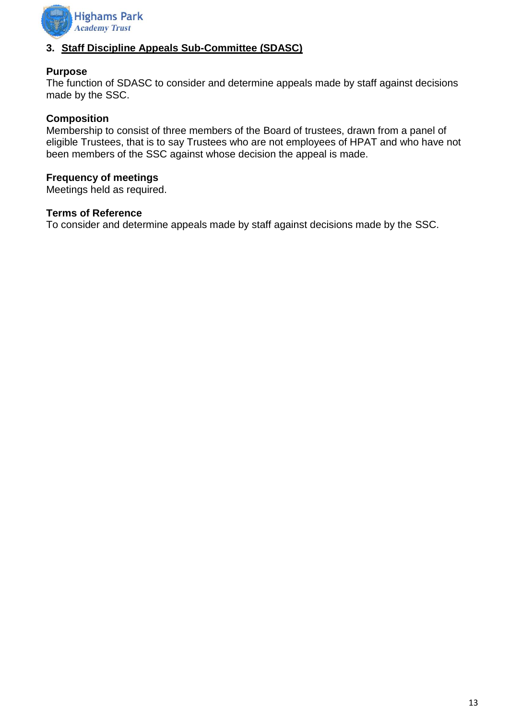

#### **3. Staff Discipline Appeals Sub-Committee (SDASC)**

#### **Purpose**

The function of SDASC to consider and determine appeals made by staff against decisions made by the SSC.

#### **Composition**

Membership to consist of three members of the Board of trustees, drawn from a panel of eligible Trustees, that is to say Trustees who are not employees of HPAT and who have not been members of the SSC against whose decision the appeal is made.

#### **Frequency of meetings**

Meetings held as required.

#### **Terms of Reference**

To consider and determine appeals made by staff against decisions made by the SSC.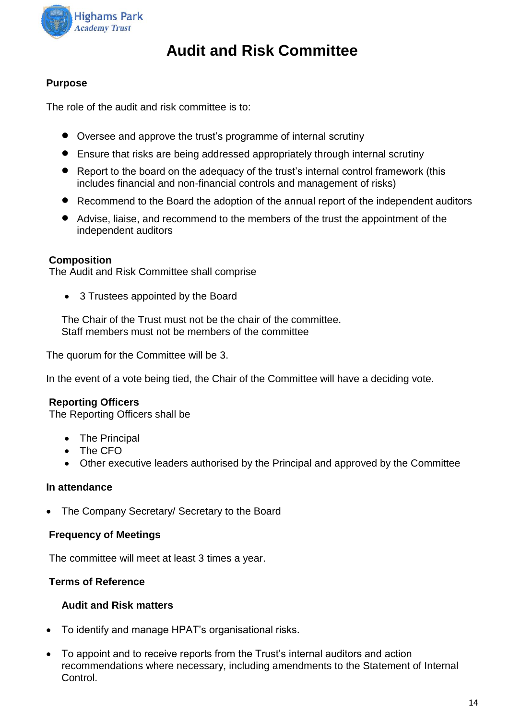

## **Audit and Risk Committee**

#### **Purpose**

The role of the audit and risk committee is to:

- Oversee and approve the trust's programme of internal scrutiny
- Ensure that risks are being addressed appropriately through internal scrutiny
- Report to the board on the adequacy of the trust's internal control framework (this includes financial and non-financial controls and management of risks)
- Recommend to the Board the adoption of the annual report of the independent auditors
- Advise, liaise, and recommend to the members of the trust the appointment of the independent auditors

#### **Composition**

The Audit and Risk Committee shall comprise

• 3 Trustees appointed by the Board

The Chair of the Trust must not be the chair of the committee. Staff members must not be members of the committee

The quorum for the Committee will be 3.

In the event of a vote being tied, the Chair of the Committee will have a deciding vote.

#### **Reporting Officers**

The Reporting Officers shall be

- The Principal
- The CFO
- Other executive leaders authorised by the Principal and approved by the Committee

#### **In attendance**

• The Company Secretary/ Secretary to the Board

#### **Frequency of Meetings**

The committee will meet at least 3 times a year.

#### **Terms of Reference**

#### **Audit and Risk matters**

- To identify and manage HPAT's organisational risks.
- To appoint and to receive reports from the Trust's internal auditors and action recommendations where necessary, including amendments to the Statement of Internal Control.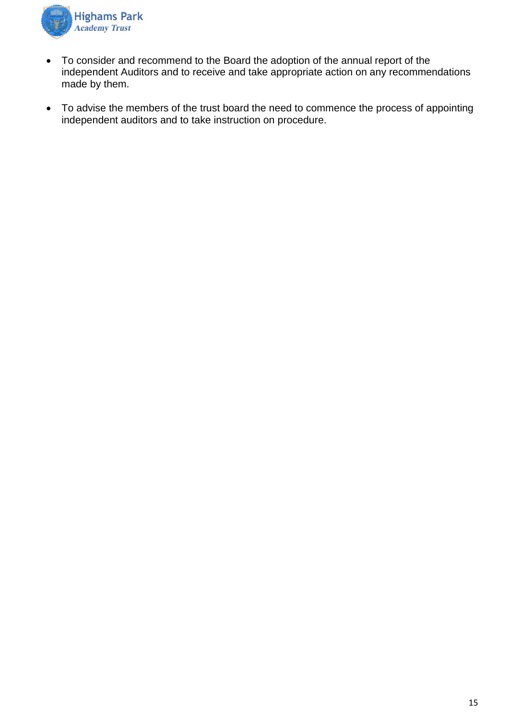

- To consider and recommend to the Board the adoption of the annual report of the independent Auditors and to receive and take appropriate action on any recommendations made by them.
- To advise the members of the trust board the need to commence the process of appointing independent auditors and to take instruction on procedure.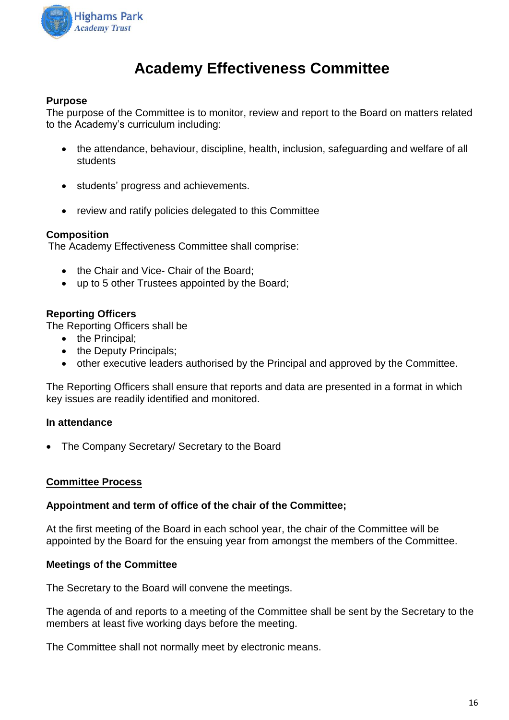

## **Academy Effectiveness Committee**

#### **Purpose**

The purpose of the Committee is to monitor, review and report to the Board on matters related to the Academy's curriculum including:

- the attendance, behaviour, discipline, health, inclusion, safeguarding and welfare of all students
- students' progress and achievements.
- review and ratify policies delegated to this Committee

#### **Composition**

The Academy Effectiveness Committee shall comprise:

- the Chair and Vice- Chair of the Board:
- up to 5 other Trustees appointed by the Board;

#### **Reporting Officers**

The Reporting Officers shall be

- the Principal:
- the Deputy Principals;
- other executive leaders authorised by the Principal and approved by the Committee.

The Reporting Officers shall ensure that reports and data are presented in a format in which key issues are readily identified and monitored.

#### **In attendance**

• The Company Secretary/ Secretary to the Board

#### **Committee Process**

#### **Appointment and term of office of the chair of the Committee;**

At the first meeting of the Board in each school year, the chair of the Committee will be appointed by the Board for the ensuing year from amongst the members of the Committee.

#### **Meetings of the Committee**

The Secretary to the Board will convene the meetings.

The agenda of and reports to a meeting of the Committee shall be sent by the Secretary to the members at least five working days before the meeting.

The Committee shall not normally meet by electronic means.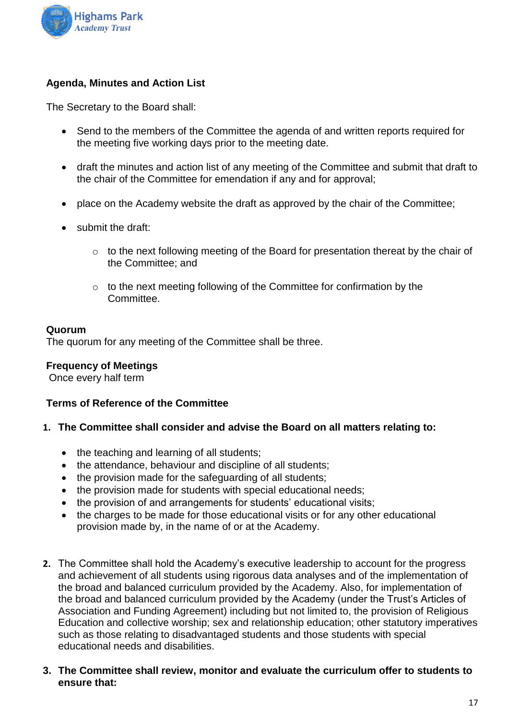

#### **Agenda, Minutes and Action List**

The Secretary to the Board shall:

- Send to the members of the Committee the agenda of and written reports required for the meeting five working days prior to the meeting date.
- draft the minutes and action list of any meeting of the Committee and submit that draft to the chair of the Committee for emendation if any and for approval;
- place on the Academy website the draft as approved by the chair of the Committee;
- submit the draft:
	- o to the next following meeting of the Board for presentation thereat by the chair of the Committee; and
	- o to the next meeting following of the Committee for confirmation by the Committee.

#### **Quorum**

The quorum for any meeting of the Committee shall be three.

#### **Frequency of Meetings**

Once every half term

#### **Terms of Reference of the Committee**

- **1. The Committee shall consider and advise the Board on all matters relating to:**
	- the teaching and learning of all students;
	- the attendance, behaviour and discipline of all students;
	- the provision made for the safeguarding of all students;
	- the provision made for students with special educational needs;
	- the provision of and arrangements for students' educational visits;
	- the charges to be made for those educational visits or for any other educational provision made by, in the name of or at the Academy.
- **2.** The Committee shall hold the Academy's executive leadership to account for the progress and achievement of all students using rigorous data analyses and of the implementation of the broad and balanced curriculum provided by the Academy. Also, for implementation of the broad and balanced curriculum provided by the Academy (under the Trust's Articles of Association and Funding Agreement) including but not limited to, the provision of Religious Education and collective worship; sex and relationship education; other statutory imperatives such as those relating to disadvantaged students and those students with special educational needs and disabilities.
- **3. The Committee shall review, monitor and evaluate the curriculum offer to students to ensure that:**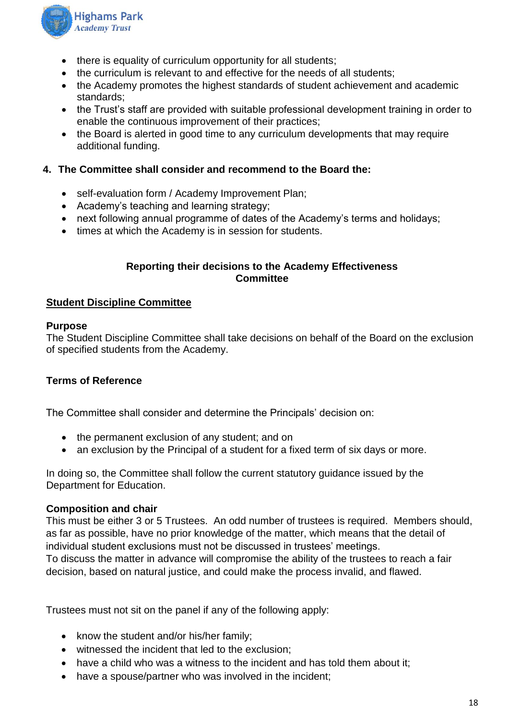

- there is equality of curriculum opportunity for all students;
- the curriculum is relevant to and effective for the needs of all students;
- the Academy promotes the highest standards of student achievement and academic standards;
- the Trust's staff are provided with suitable professional development training in order to enable the continuous improvement of their practices;
- the Board is alerted in good time to any curriculum developments that may require additional funding.

#### **4. The Committee shall consider and recommend to the Board the:**

- self-evaluation form / Academy Improvement Plan;
- Academy's teaching and learning strategy;
- next following annual programme of dates of the Academy's terms and holidays;
- times at which the Academy is in session for students.

#### **Reporting their decisions to the Academy Effectiveness Committee**

#### **Student Discipline Committee**

#### **Purpose**

The Student Discipline Committee shall take decisions on behalf of the Board on the exclusion of specified students from the Academy.

#### **Terms of Reference**

The Committee shall consider and determine the Principals' decision on:

- the permanent exclusion of any student; and on
- an exclusion by the Principal of a student for a fixed term of six days or more.

In doing so, the Committee shall follow the current statutory guidance issued by the Department for Education.

#### **Composition and chair**

This must be either 3 or 5 Trustees. An odd number of trustees is required. Members should, as far as possible, have no prior knowledge of the matter, which means that the detail of individual student exclusions must not be discussed in trustees' meetings. To discuss the matter in advance will compromise the ability of the trustees to reach a fair decision, based on natural justice, and could make the process invalid, and flawed.

Trustees must not sit on the panel if any of the following apply:

- know the student and/or his/her family;
- witnessed the incident that led to the exclusion;
- have a child who was a witness to the incident and has told them about it;
- have a spouse/partner who was involved in the incident;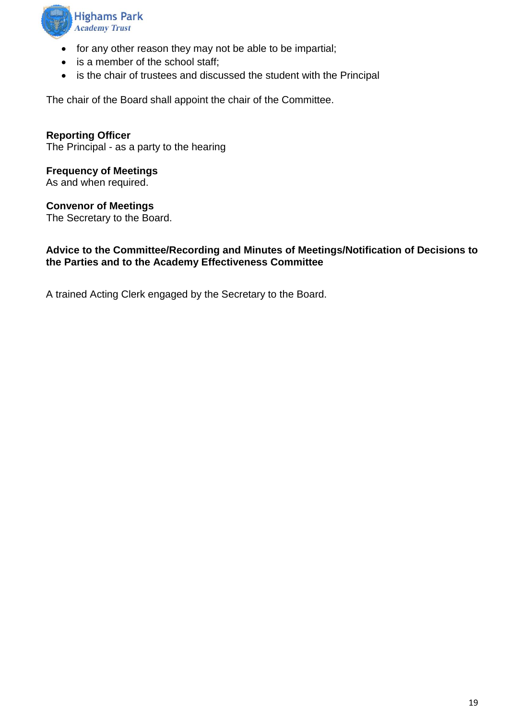

- for any other reason they may not be able to be impartial;
- is a member of the school staff:
- is the chair of trustees and discussed the student with the Principal

The chair of the Board shall appoint the chair of the Committee.

**Reporting Officer** The Principal - as a party to the hearing

**Frequency of Meetings** As and when required.

**Convenor of Meetings**

The Secretary to the Board.

#### **Advice to the Committee/Recording and Minutes of Meetings/Notification of Decisions to the Parties and to the Academy Effectiveness Committee**

A trained Acting Clerk engaged by the Secretary to the Board.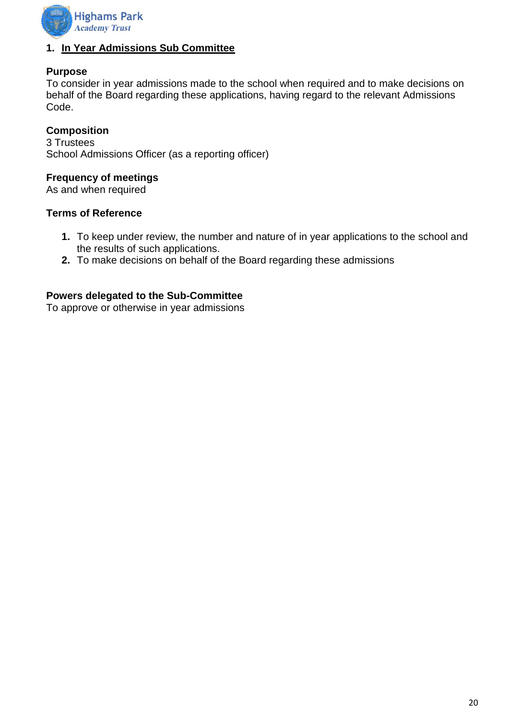

#### **1. In Year Admissions Sub Committee**

#### **Purpose**

To consider in year admissions made to the school when required and to make decisions on behalf of the Board regarding these applications, having regard to the relevant Admissions Code.

#### **Composition**

3 Trustees School Admissions Officer (as a reporting officer)

#### **Frequency of meetings**

As and when required

#### **Terms of Reference**

- **1.** To keep under review, the number and nature of in year applications to the school and the results of such applications.
- **2.** To make decisions on behalf of the Board regarding these admissions

#### **Powers delegated to the Sub-Committee**

To approve or otherwise in year admissions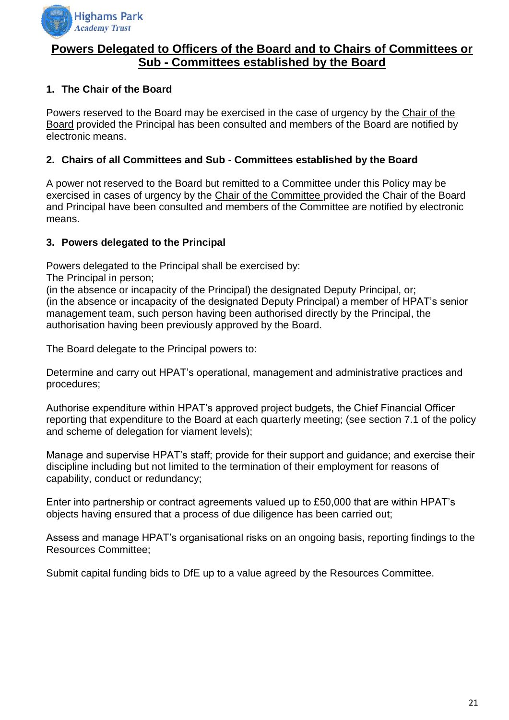

#### **Powers Delegated to Officers of the Board and to Chairs of Committees or Sub - Committees established by the Board**

#### **1. The Chair of the Board**

Powers reserved to the Board may be exercised in the case of urgency by the Chair of the Board provided the Principal has been consulted and members of the Board are notified by electronic means.

#### **2. Chairs of all Committees and Sub - Committees established by the Board**

A power not reserved to the Board but remitted to a Committee under this Policy may be exercised in cases of urgency by the Chair of the Committee provided the Chair of the Board and Principal have been consulted and members of the Committee are notified by electronic means.

#### **3. Powers delegated to the Principal**

Powers delegated to the Principal shall be exercised by:

The Principal in person;

(in the absence or incapacity of the Principal) the designated Deputy Principal, or; (in the absence or incapacity of the designated Deputy Principal) a member of HPAT's senior management team, such person having been authorised directly by the Principal, the authorisation having been previously approved by the Board.

The Board delegate to the Principal powers to:

Determine and carry out HPAT's operational, management and administrative practices and procedures;

Authorise expenditure within HPAT's approved project budgets, the Chief Financial Officer reporting that expenditure to the Board at each quarterly meeting; (see section 7.1 of the policy and scheme of delegation for viament levels);

Manage and supervise HPAT's staff; provide for their support and guidance; and exercise their discipline including but not limited to the termination of their employment for reasons of capability, conduct or redundancy;

Enter into partnership or contract agreements valued up to £50,000 that are within HPAT's objects having ensured that a process of due diligence has been carried out;

Assess and manage HPAT's organisational risks on an ongoing basis, reporting findings to the Resources Committee;

Submit capital funding bids to DfE up to a value agreed by the Resources Committee.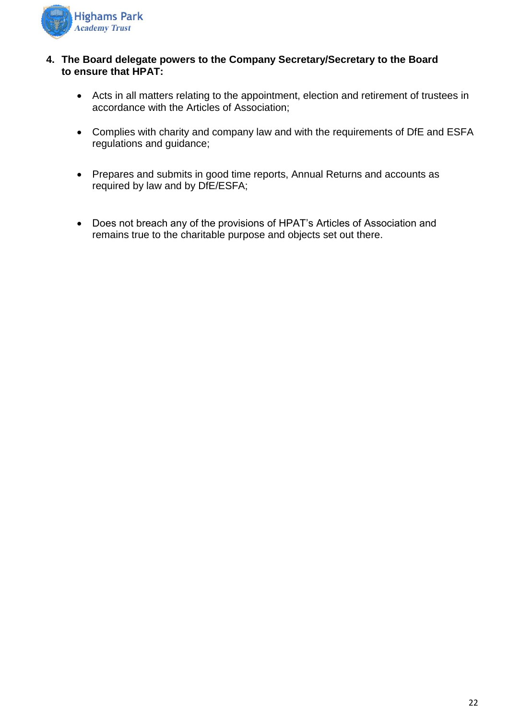

#### **4. The Board delegate powers to the Company Secretary/Secretary to the Board to ensure that HPAT:**

- Acts in all matters relating to the appointment, election and retirement of trustees in accordance with the Articles of Association;
- Complies with charity and company law and with the requirements of DfE and ESFA regulations and guidance;
- Prepares and submits in good time reports, Annual Returns and accounts as required by law and by DfE/ESFA;
- Does not breach any of the provisions of HPAT's Articles of Association and remains true to the charitable purpose and objects set out there.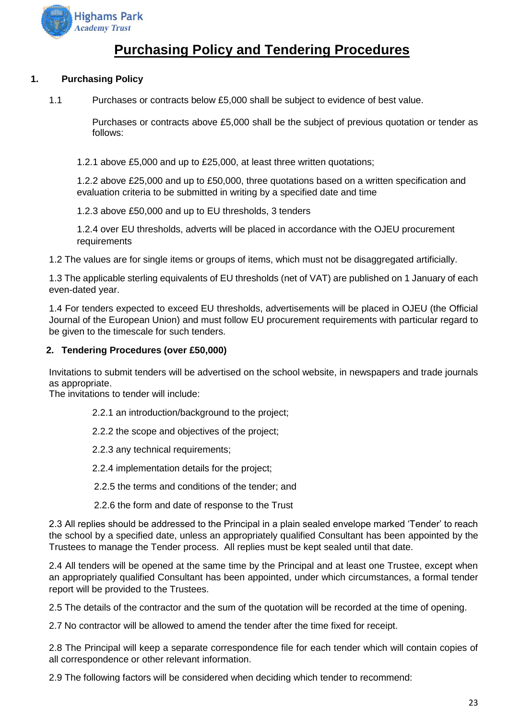

## **Purchasing Policy and Tendering Procedures**

#### **1. Purchasing Policy**

1.1 Purchases or contracts below £5,000 shall be subject to evidence of best value.

Purchases or contracts above £5,000 shall be the subject of previous quotation or tender as follows:

1.2.1 above £5,000 and up to £25,000, at least three written quotations;

1.2.2 above £25,000 and up to £50,000, three quotations based on a written specification and evaluation criteria to be submitted in writing by a specified date and time

1.2.3 above £50,000 and up to EU thresholds, 3 tenders

1.2.4 over EU thresholds, adverts will be placed in accordance with the OJEU procurement requirements

1.2 The values are for single items or groups of items, which must not be disaggregated artificially.

1.3 The applicable sterling equivalents of EU thresholds (net of VAT) are published on 1 January of each even-dated year.

1.4 For tenders expected to exceed EU thresholds, advertisements will be placed in OJEU (the Official Journal of the European Union) and must follow EU procurement requirements with particular regard to be given to the timescale for such tenders.

#### **2. Tendering Procedures (over £50,000)**

Invitations to submit tenders will be advertised on the school website, in newspapers and trade journals as appropriate.

The invitations to tender will include:

- 2.2.1 an introduction/background to the project;
- 2.2.2 the scope and objectives of the project;
- 2.2.3 any technical requirements;
- 2.2.4 implementation details for the project;
- 2.2.5 the terms and conditions of the tender; and
- 2.2.6 the form and date of response to the Trust

2.3 All replies should be addressed to the Principal in a plain sealed envelope marked 'Tender' to reach the school by a specified date, unless an appropriately qualified Consultant has been appointed by the Trustees to manage the Tender process. All replies must be kept sealed until that date.

2.4 All tenders will be opened at the same time by the Principal and at least one Trustee, except when an appropriately qualified Consultant has been appointed, under which circumstances, a formal tender report will be provided to the Trustees.

2.5 The details of the contractor and the sum of the quotation will be recorded at the time of opening.

2.7 No contractor will be allowed to amend the tender after the time fixed for receipt.

2.8 The Principal will keep a separate correspondence file for each tender which will contain copies of all correspondence or other relevant information.

2.9 The following factors will be considered when deciding which tender to recommend: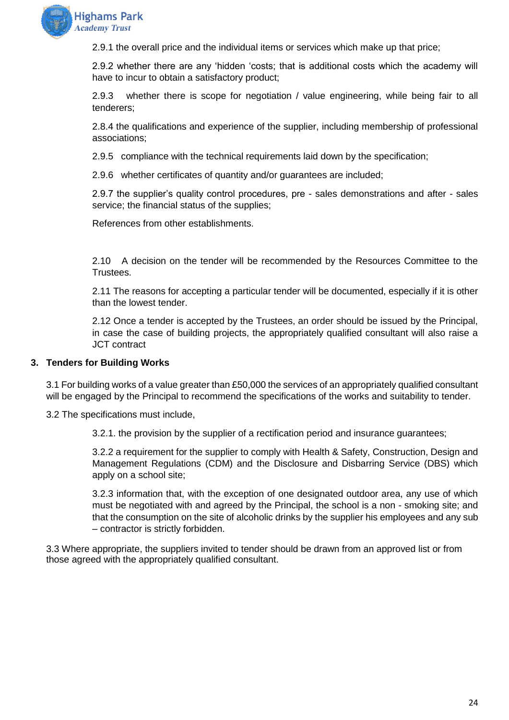

2.9.1 the overall price and the individual items or services which make up that price;

2.9.2 whether there are any 'hidden 'costs; that is additional costs which the academy will have to incur to obtain a satisfactory product;

2.9.3 whether there is scope for negotiation / value engineering, while being fair to all tenderers;

2.8.4 the qualifications and experience of the supplier, including membership of professional associations;

2.9.5 compliance with the technical requirements laid down by the specification;

2.9.6 whether certificates of quantity and/or guarantees are included;

2.9.7 the supplier's quality control procedures, pre - sales demonstrations and after - sales service; the financial status of the supplies;

References from other establishments.

2.10 A decision on the tender will be recommended by the Resources Committee to the Trustees.

2.11 The reasons for accepting a particular tender will be documented, especially if it is other than the lowest tender.

2.12 Once a tender is accepted by the Trustees, an order should be issued by the Principal, in case the case of building projects, the appropriately qualified consultant will also raise a JCT contract

#### **3. Tenders for Building Works**

3.1 For building works of a value greater than £50,000 the services of an appropriately qualified consultant will be engaged by the Principal to recommend the specifications of the works and suitability to tender.

3.2 The specifications must include,

3.2.1. the provision by the supplier of a rectification period and insurance guarantees;

3.2.2 a requirement for the supplier to comply with Health & Safety, Construction, Design and Management Regulations (CDM) and the Disclosure and Disbarring Service (DBS) which apply on a school site;

3.2.3 information that, with the exception of one designated outdoor area, any use of which must be negotiated with and agreed by the Principal, the school is a non - smoking site; and that the consumption on the site of alcoholic drinks by the supplier his employees and any sub – contractor is strictly forbidden.

3.3 Where appropriate, the suppliers invited to tender should be drawn from an approved list or from those agreed with the appropriately qualified consultant.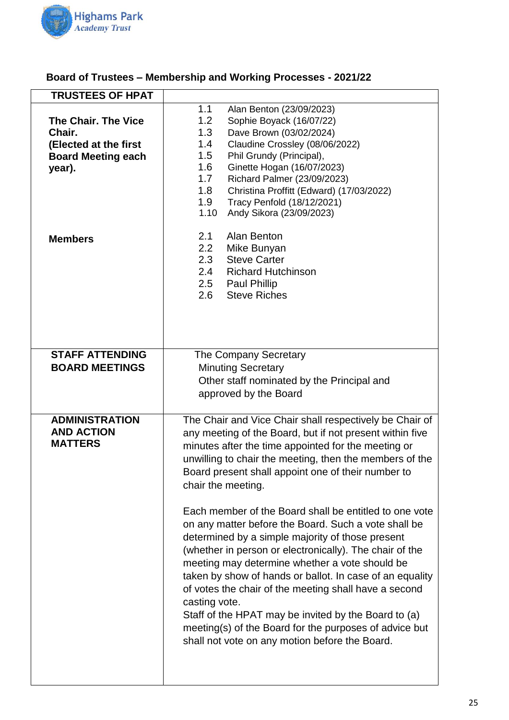

## **Board of Trustees – Membership and Working Processes - 2021/22**

| <b>TRUSTEES OF HPAT</b>                                                                              |                                                                                                                                                                                                                                                                                                                                                                                                                                                                                                                                                                                                                                                                                                                                                                                                                                                                                                                |
|------------------------------------------------------------------------------------------------------|----------------------------------------------------------------------------------------------------------------------------------------------------------------------------------------------------------------------------------------------------------------------------------------------------------------------------------------------------------------------------------------------------------------------------------------------------------------------------------------------------------------------------------------------------------------------------------------------------------------------------------------------------------------------------------------------------------------------------------------------------------------------------------------------------------------------------------------------------------------------------------------------------------------|
| <b>The Chair. The Vice</b><br>Chair.<br>(Elected at the first<br><b>Board Meeting each</b><br>year). | 1.1<br>Alan Benton (23/09/2023)<br>1.2<br>Sophie Boyack (16/07/22)<br>1.3<br>Dave Brown (03/02/2024)<br>1.4<br>Claudine Crossley (08/06/2022)<br>1.5<br>Phil Grundy (Principal),<br>1.6<br>Ginette Hogan (16/07/2023)<br>1.7<br>Richard Palmer (23/09/2023)<br>1.8<br>Christina Proffitt (Edward) (17/03/2022)<br>1.9<br>Tracy Penfold (18/12/2021)<br>1.10<br>Andy Sikora (23/09/2023)                                                                                                                                                                                                                                                                                                                                                                                                                                                                                                                        |
| <b>Members</b>                                                                                       | Alan Benton<br>2.1<br>2.2<br>Mike Bunyan<br><b>Steve Carter</b><br>2.3<br>2.4<br><b>Richard Hutchinson</b><br>2.5<br><b>Paul Phillip</b><br><b>Steve Riches</b><br>2.6                                                                                                                                                                                                                                                                                                                                                                                                                                                                                                                                                                                                                                                                                                                                         |
| <b>STAFF ATTENDING</b><br><b>BOARD MEETINGS</b>                                                      | The Company Secretary<br><b>Minuting Secretary</b><br>Other staff nominated by the Principal and<br>approved by the Board                                                                                                                                                                                                                                                                                                                                                                                                                                                                                                                                                                                                                                                                                                                                                                                      |
| <b>ADMINISTRATION</b><br><b>AND ACTION</b><br><b>MATTERS</b>                                         | The Chair and Vice Chair shall respectively be Chair of<br>any meeting of the Board, but if not present within five<br>minutes after the time appointed for the meeting or<br>unwilling to chair the meeting, then the members of the<br>Board present shall appoint one of their number to<br>chair the meeting.<br>Each member of the Board shall be entitled to one vote<br>on any matter before the Board. Such a vote shall be<br>determined by a simple majority of those present<br>(whether in person or electronically). The chair of the<br>meeting may determine whether a vote should be<br>taken by show of hands or ballot. In case of an equality<br>of votes the chair of the meeting shall have a second<br>casting vote.<br>Staff of the HPAT may be invited by the Board to (a)<br>meeting(s) of the Board for the purposes of advice but<br>shall not vote on any motion before the Board. |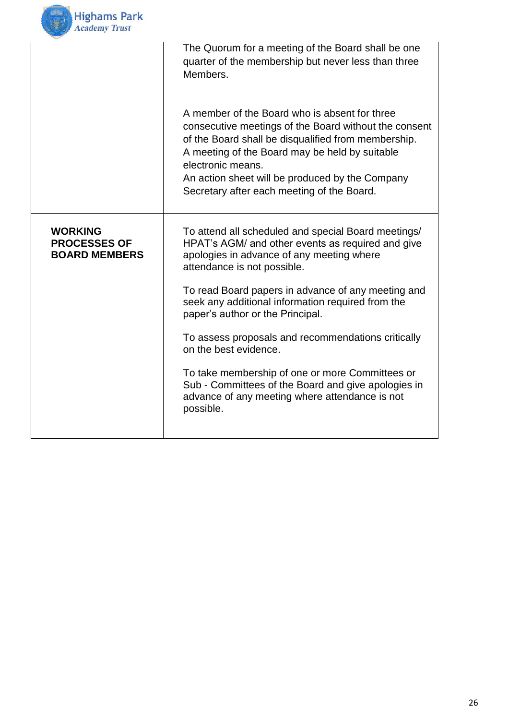

|                                                               | The Quorum for a meeting of the Board shall be one<br>quarter of the membership but never less than three<br>Members.                                                                                                                                                                                                                 |
|---------------------------------------------------------------|---------------------------------------------------------------------------------------------------------------------------------------------------------------------------------------------------------------------------------------------------------------------------------------------------------------------------------------|
|                                                               | A member of the Board who is absent for three<br>consecutive meetings of the Board without the consent<br>of the Board shall be disqualified from membership.<br>A meeting of the Board may be held by suitable<br>electronic means.<br>An action sheet will be produced by the Company<br>Secretary after each meeting of the Board. |
| <b>WORKING</b><br><b>PROCESSES OF</b><br><b>BOARD MEMBERS</b> | To attend all scheduled and special Board meetings/<br>HPAT's AGM/ and other events as required and give<br>apologies in advance of any meeting where<br>attendance is not possible.                                                                                                                                                  |
|                                                               | To read Board papers in advance of any meeting and<br>seek any additional information required from the<br>paper's author or the Principal.                                                                                                                                                                                           |
|                                                               | To assess proposals and recommendations critically<br>on the best evidence.                                                                                                                                                                                                                                                           |
|                                                               | To take membership of one or more Committees or<br>Sub - Committees of the Board and give apologies in<br>advance of any meeting where attendance is not<br>possible.                                                                                                                                                                 |
|                                                               |                                                                                                                                                                                                                                                                                                                                       |